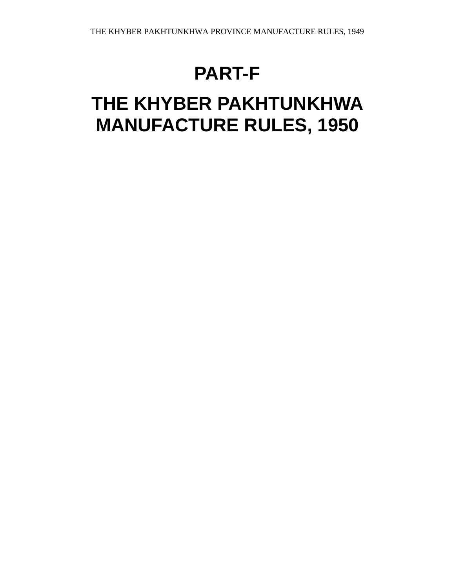# **PART-F**

# **THE KHYBER PAKHTUNKHWA MANUFACTURE RULES, 1950**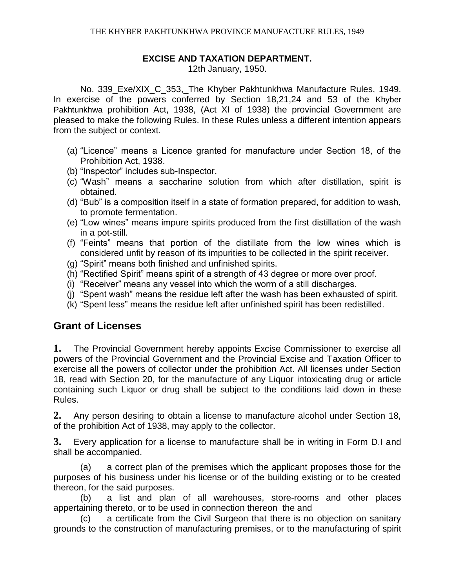#### **EXCISE AND TAXATION DEPARTMENT.**

12th January, 1950.

No. 339 Exe/XIX C 353, The Khyber Pakhtunkhwa Manufacture Rules, 1949. In exercise of the powers conferred by Section 18,21,24 and 53 of the Khyber Pakhtunkhwa prohibition Act, 1938, (Act XI of 1938) the provincial Government are pleased to make the following Rules. In these Rules unless a different intention appears from the subject or context.

- (a) "Licence" means a Licence granted for manufacture under Section 18, of the Prohibition Act, 1938.
- (b) "Inspector" includes sub-Inspector.
- (c) "Wash" means a saccharine solution from which after distillation, spirit is obtained.
- (d) "Bub" is a composition itself in a state of formation prepared, for addition to wash, to promote fermentation.
- (e) "Low wines" means impure spirits produced from the first distillation of the wash in a pot-still.
- (f) "Feints" means that portion of the distillate from the low wines which is considered unfit by reason of its impurities to be collected in the spirit receiver.
- (g) "Spirit" means both finished and unfinished spirits.
- (h) "Rectified Spirit" means spirit of a strength of 43 degree or more over proof.
- (i) "Receiver" means any vessel into which the worm of a still discharges.
- (j) "Spent wash" means the residue left after the wash has been exhausted of spirit.
- (k) "Spent less" means the residue left after unfinished spirit has been redistilled.

# **Grant of Licenses**

**1.** The Provincial Government hereby appoints Excise Commissioner to exercise all powers of the Provincial Government and the Provincial Excise and Taxation Officer to exercise all the powers of collector under the prohibition Act. All licenses under Section 18, read with Section 20, for the manufacture of any Liquor intoxicating drug or article containing such Liquor or drug shall be subject to the conditions laid down in these Rules.

**2.** Any person desiring to obtain a license to manufacture alcohol under Section 18, of the prohibition Act of 1938, may apply to the collector.

**3.** Every application for a license to manufacture shall be in writing in Form D.I and shall be accompanied.

(a) a correct plan of the premises which the applicant proposes those for the purposes of his business under his license or of the building existing or to be created thereon, for the said purposes.

(b) a list and plan of all warehouses, store-rooms and other places appertaining thereto, or to be used in connection thereon the and

(c) a certificate from the Civil Surgeon that there is no objection on sanitary grounds to the construction of manufacturing premises, or to the manufacturing of spirit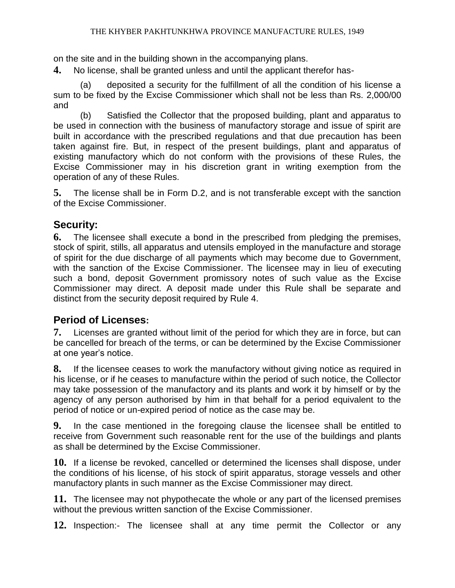on the site and in the building shown in the accompanying plans.

**4.** No license, shall be granted unless and until the applicant therefor has-

(a) deposited a security for the fulfillment of all the condition of his license a sum to be fixed by the Excise Commissioner which shall not be less than Rs. 2,000/00 and

(b) Satisfied the Collector that the proposed building, plant and apparatus to be used in connection with the business of manufactory storage and issue of spirit are built in accordance with the prescribed regulations and that due precaution has been taken against fire. But, in respect of the present buildings, plant and apparatus of existing manufactory which do not conform with the provisions of these Rules, the Excise Commissioner may in his discretion grant in writing exemption from the operation of any of these Rules.

**5.** The license shall be in Form D.2, and is not transferable except with the sanction of the Excise Commissioner.

## **Security:**

**6.** The licensee shall execute a bond in the prescribed from pledging the premises, stock of spirit, stills, all apparatus and utensils employed in the manufacture and storage of spirit for the due discharge of all payments which may become due to Government, with the sanction of the Excise Commissioner. The licensee may in lieu of executing such a bond, deposit Government promissory notes of such value as the Excise Commissioner may direct. A deposit made under this Rule shall be separate and distinct from the security deposit required by Rule 4.

#### **Period of Licenses:**

**7.** Licenses are granted without limit of the period for which they are in force, but can be cancelled for breach of the terms, or can be determined by the Excise Commissioner at one year's notice.

**8.** If the licensee ceases to work the manufactory without giving notice as required in his license, or if he ceases to manufacture within the period of such notice, the Collector may take possession of the manufactory and its plants and work it by himself or by the agency of any person authorised by him in that behalf for a period equivalent to the period of notice or un-expired period of notice as the case may be.

**9.** In the case mentioned in the foregoing clause the licensee shall be entitled to receive from Government such reasonable rent for the use of the buildings and plants as shall be determined by the Excise Commissioner.

**10.** If a license be revoked, cancelled or determined the licenses shall dispose, under the conditions of his license, of his stock of spirit apparatus, storage vessels and other manufactory plants in such manner as the Excise Commissioner may direct.

**11.** The licensee may not phypothecate the whole or any part of the licensed premises without the previous written sanction of the Excise Commissioner.

**12.** Inspection:- The licensee shall at any time permit the Collector or any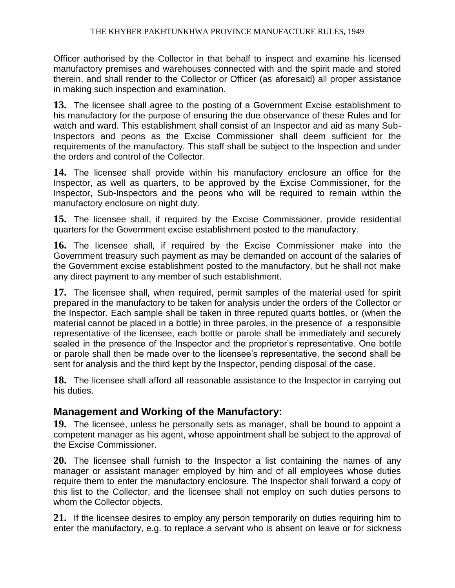Officer authorised by the Collector in that behalf to inspect and examine his licensed manufactory premises and warehouses connected with and the spirit made and stored therein, and shall render to the Collector or Officer (as aforesaid) all proper assistance in making such inspection and examination.

**13.** The licensee shall agree to the posting of a Government Excise establishment to his manufactory for the purpose of ensuring the due observance of these Rules and for watch and ward. This establishment shall consist of an Inspector and aid as many Sub-Inspectors and peons as the Excise Commissioner shall deem sufficient for the requirements of the manufactory. This staff shall be subject to the Inspection and under the orders and control of the Collector.

**14.** The licensee shall provide within his manufactory enclosure an office for the Inspector, as well as quarters, to be approved by the Excise Commissioner, for the Inspector, Sub-Inspectors and the peons who will be required to remain within the manufactory enclosure on night duty.

**15.** The licensee shall, if required by the Excise Commissioner, provide residential quarters for the Government excise establishment posted to the manufactory.

**16.** The licensee shall, if required by the Excise Commissioner make into the Government treasury such payment as may be demanded on account of the salaries of the Government excise establishment posted to the manufactory, but he shall not make any direct payment to any member of such establishment.

**17.** The licensee shall, when required, permit samples of the material used for spirit prepared in the manufactory to be taken for analysis under the orders of the Collector or the Inspector. Each sample shall be taken in three reputed quarts bottles, or (when the material cannot be placed in a bottle) in three paroles, in the presence of a responsible representative of the licensee, each bottle or parole shall be immediately and securely sealed in the presence of the Inspector and the proprietor's representative. One bottle or parole shall then be made over to the licensee's representative, the second shall be sent for analysis and the third kept by the Inspector, pending disposal of the case.

**18.** The licensee shall afford all reasonable assistance to the Inspector in carrying out his duties.

#### **Management and Working of the Manufactory:**

**19.** The licensee, unless he personally sets as manager, shall be bound to appoint a competent manager as his agent, whose appointment shall be subject to the approval of the Excise Commissioner.

**20.** The licensee shall furnish to the Inspector a list containing the names of any manager or assistant manager employed by him and of all employees whose duties require them to enter the manufactory enclosure. The Inspector shall forward a copy of this list to the Collector, and the licensee shall not employ on such duties persons to whom the Collector objects.

**21.** If the licensee desires to employ any person temporarily on duties requiring him to enter the manufactory, e.g. to replace a servant who is absent on leave or for sickness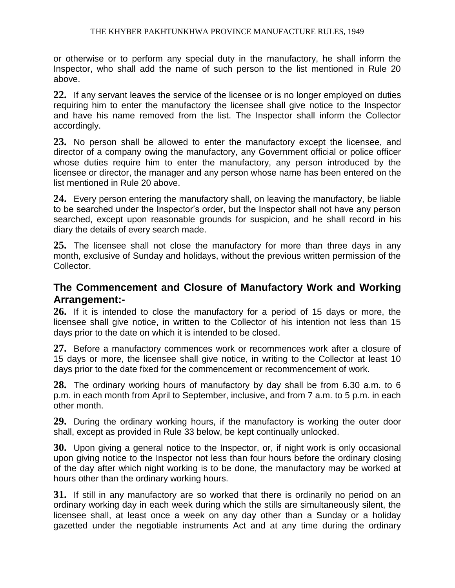or otherwise or to perform any special duty in the manufactory, he shall inform the Inspector, who shall add the name of such person to the list mentioned in Rule 20 above.

**22.** If any servant leaves the service of the licensee or is no longer employed on duties requiring him to enter the manufactory the licensee shall give notice to the Inspector and have his name removed from the list. The Inspector shall inform the Collector accordingly.

**23.** No person shall be allowed to enter the manufactory except the licensee, and director of a company owing the manufactory, any Government official or police officer whose duties require him to enter the manufactory, any person introduced by the licensee or director, the manager and any person whose name has been entered on the list mentioned in Rule 20 above.

**24.** Every person entering the manufactory shall, on leaving the manufactory, be liable to be searched under the Inspector's order, but the Inspector shall not have any person searched, except upon reasonable grounds for suspicion, and he shall record in his diary the details of every search made.

**25.** The licensee shall not close the manufactory for more than three days in any month, exclusive of Sunday and holidays, without the previous written permission of the Collector.

### **The Commencement and Closure of Manufactory Work and Working Arrangement:-**

**26.** If it is intended to close the manufactory for a period of 15 days or more, the licensee shall give notice, in written to the Collector of his intention not less than 15 days prior to the date on which it is intended to be closed.

**27.** Before a manufactory commences work or recommences work after a closure of 15 days or more, the licensee shall give notice, in writing to the Collector at least 10 days prior to the date fixed for the commencement or recommencement of work.

**28.** The ordinary working hours of manufactory by day shall be from 6.30 a.m. to 6 p.m. in each month from April to September, inclusive, and from 7 a.m. to 5 p.m. in each other month.

**29.** During the ordinary working hours, if the manufactory is working the outer door shall, except as provided in Rule 33 below, be kept continually unlocked.

**30.** Upon giving a general notice to the Inspector, or, if night work is only occasional upon giving notice to the Inspector not less than four hours before the ordinary closing of the day after which night working is to be done, the manufactory may be worked at hours other than the ordinary working hours.

**31.** If still in any manufactory are so worked that there is ordinarily no period on an ordinary working day in each week during which the stills are simultaneously silent, the licensee shall, at least once a week on any day other than a Sunday or a holiday gazetted under the negotiable instruments Act and at any time during the ordinary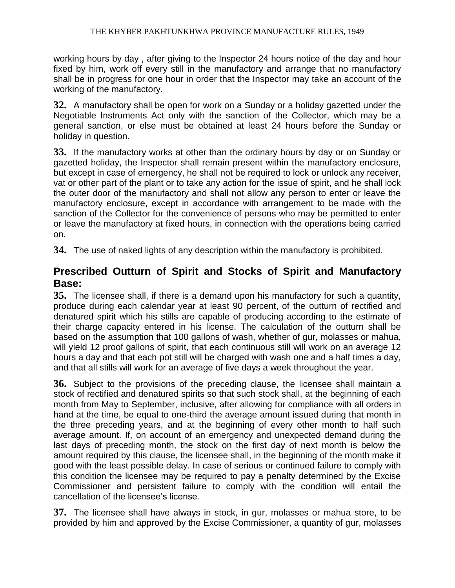working hours by day , after giving to the Inspector 24 hours notice of the day and hour fixed by him, work off every still in the manufactory and arrange that no manufactory shall be in progress for one hour in order that the Inspector may take an account of the working of the manufactory.

**32.** A manufactory shall be open for work on a Sunday or a holiday gazetted under the Negotiable Instruments Act only with the sanction of the Collector, which may be a general sanction, or else must be obtained at least 24 hours before the Sunday or holiday in question.

**33.** If the manufactory works at other than the ordinary hours by day or on Sunday or gazetted holiday, the Inspector shall remain present within the manufactory enclosure, but except in case of emergency, he shall not be required to lock or unlock any receiver, vat or other part of the plant or to take any action for the issue of spirit, and he shall lock the outer door of the manufactory and shall not allow any person to enter or leave the manufactory enclosure, except in accordance with arrangement to be made with the sanction of the Collector for the convenience of persons who may be permitted to enter or leave the manufactory at fixed hours, in connection with the operations being carried on.

**34.** The use of naked lights of any description within the manufactory is prohibited.

# **Prescribed Outturn of Spirit and Stocks of Spirit and Manufactory Base:**

**35.** The licensee shall, if there is a demand upon his manufactory for such a quantity, produce during each calendar year at least 90 percent, of the outturn of rectified and denatured spirit which his stills are capable of producing according to the estimate of their charge capacity entered in his license. The calculation of the outturn shall be based on the assumption that 100 gallons of wash, whether of gur, molasses or mahua, will yield 12 proof gallons of spirit, that each continuous still will work on an average 12 hours a day and that each pot still will be charged with wash one and a half times a day, and that all stills will work for an average of five days a week throughout the year.

**36.** Subject to the provisions of the preceding clause, the licensee shall maintain a stock of rectified and denatured spirits so that such stock shall, at the beginning of each month from May to September, inclusive, after allowing for compliance with all orders in hand at the time, be equal to one-third the average amount issued during that month in the three preceding years, and at the beginning of every other month to half such average amount. If, on account of an emergency and unexpected demand during the last days of preceding month, the stock on the first day of next month is below the amount required by this clause, the licensee shall, in the beginning of the month make it good with the least possible delay. In case of serious or continued failure to comply with this condition the licensee may be required to pay a penalty determined by the Excise Commissioner and persistent failure to comply with the condition will entail the cancellation of the licensee's license.

**37.** The licensee shall have always in stock, in gur, molasses or mahua store, to be provided by him and approved by the Excise Commissioner, a quantity of gur, molasses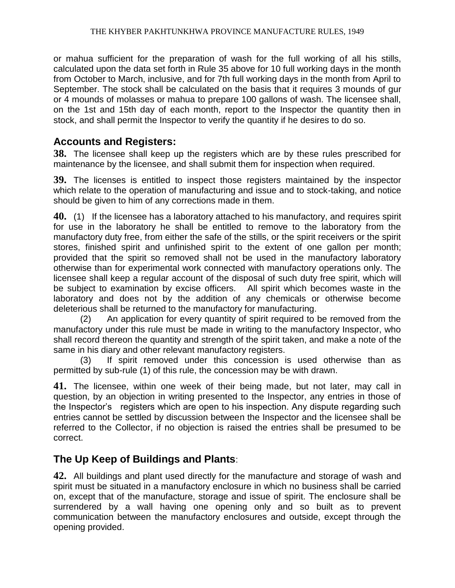or mahua sufficient for the preparation of wash for the full working of all his stills, calculated upon the data set forth in Rule 35 above for 10 full working days in the month from October to March, inclusive, and for 7th full working days in the month from April to September. The stock shall be calculated on the basis that it requires 3 mounds of gur or 4 mounds of molasses or mahua to prepare 100 gallons of wash. The licensee shall, on the 1st and 15th day of each month, report to the Inspector the quantity then in stock, and shall permit the Inspector to verify the quantity if he desires to do so.

### **Accounts and Registers:**

**38.** The licensee shall keep up the registers which are by these rules prescribed for maintenance by the licensee, and shall submit them for inspection when required.

**39.** The licenses is entitled to inspect those registers maintained by the inspector which relate to the operation of manufacturing and issue and to stock-taking, and notice should be given to him of any corrections made in them.

**40.** (1) If the licensee has a laboratory attached to his manufactory, and requires spirit for use in the laboratory he shall be entitled to remove to the laboratory from the manufactory duty free, from either the safe of the stills, or the spirit receivers or the spirit stores, finished spirit and unfinished spirit to the extent of one gallon per month; provided that the spirit so removed shall not be used in the manufactory laboratory otherwise than for experimental work connected with manufactory operations only. The licensee shall keep a regular account of the disposal of such duty free spirit, which will be subject to examination by excise officers. All spirit which becomes waste in the laboratory and does not by the addition of any chemicals or otherwise become deleterious shall be returned to the manufactory for manufacturing.

(2) An application for every quantity of spirit required to be removed from the manufactory under this rule must be made in writing to the manufactory Inspector, who shall record thereon the quantity and strength of the spirit taken, and make a note of the same in his diary and other relevant manufactory registers.

(3) If spirit removed under this concession is used otherwise than as permitted by sub-rule (1) of this rule, the concession may be with drawn.

**41.** The licensee, within one week of their being made, but not later, may call in question, by an objection in writing presented to the Inspector, any entries in those of the Inspector's registers which are open to his inspection. Any dispute regarding such entries cannot be settled by discussion between the Inspector and the licensee shall be referred to the Collector, if no objection is raised the entries shall be presumed to be correct.

## **The Up Keep of Buildings and Plants**:

**42.** All buildings and plant used directly for the manufacture and storage of wash and spirit must be situated in a manufactory enclosure in which no business shall be carried on, except that of the manufacture, storage and issue of spirit. The enclosure shall be surrendered by a wall having one opening only and so built as to prevent communication between the manufactory enclosures and outside, except through the opening provided.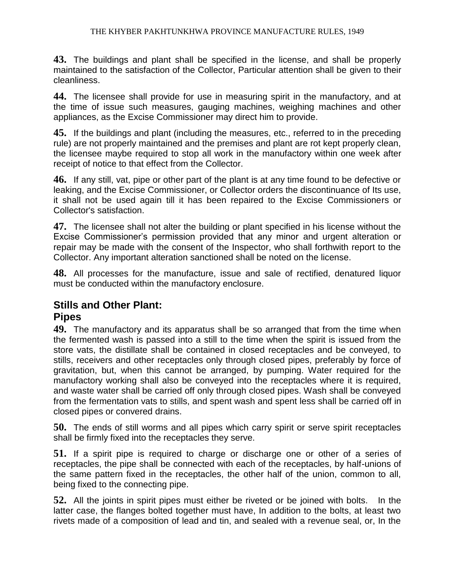**43.** The buildings and plant shall be specified in the license, and shall be properly maintained to the satisfaction of the Collector, Particular attention shall be given to their cleanliness.

**44.** The licensee shall provide for use in measuring spirit in the manufactory, and at the time of issue such measures, gauging machines, weighing machines and other appliances, as the Excise Commissioner may direct him to provide.

**45.** If the buildings and plant (including the measures, etc., referred to in the preceding rule) are not properly maintained and the premises and plant are rot kept properly clean, the licensee maybe required to stop all work in the manufactory within one week after receipt of notice to that effect from the Collector.

**46.** If any still, vat, pipe or other part of the plant is at any time found to be defective or leaking, and the Excise Commissioner, or Collector orders the discontinuance of Its use, it shall not be used again till it has been repaired to the Excise Commissioners or Collector's satisfaction.

**47.** The licensee shall not alter the building or plant specified in his license without the Excise Commissioner's permission provided that any minor and urgent alteration or repair may be made with the consent of the Inspector, who shall forthwith report to the Collector. Any important alteration sanctioned shall be noted on the license.

**48.** All processes for the manufacture, issue and sale of rectified, denatured liquor must be conducted within the manufactory enclosure.

#### **Stills and Other Plant:**

#### **Pipes**

**49.** The manufactory and its apparatus shall be so arranged that from the time when the fermented wash is passed into a still to the time when the spirit is issued from the store vats, the distillate shall be contained in closed receptacles and be conveyed, to stills, receivers and other receptacles only through closed pipes, preferably by force of gravitation, but, when this cannot be arranged, by pumping. Water required for the manufactory working shall also be conveyed into the receptacles where it is required, and waste water shall be carried off only through closed pipes. Wash shall be conveyed from the fermentation vats to stills, and spent wash and spent less shall be carried off in closed pipes or convered drains.

**50.** The ends of still worms and all pipes which carry spirit or serve spirit receptacles shall be firmly fixed into the receptacles they serve.

**51.** If a spirit pipe is required to charge or discharge one or other of a series of receptacles, the pipe shall be connected with each of the receptacles, by half-unions of the same pattern fixed in the receptacles, the other half of the union, common to all, being fixed to the connecting pipe.

**52.** All the joints in spirit pipes must either be riveted or be joined with bolts. In the latter case, the flanges bolted together must have, In addition to the bolts, at least two rivets made of a composition of lead and tin, and sealed with a revenue seal, or, In the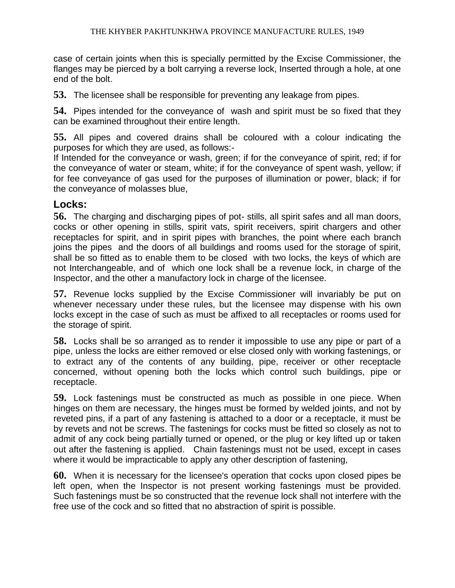case of certain joints when this is specially permitted by the Excise Commissioner, the flanges may be pierced by a bolt carrying a reverse lock, Inserted through a hole, at one end of the bolt.

**53.** The licensee shall be responsible for preventing any leakage from pipes.

**54.** Pipes intended for the conveyance of wash and spirit must be so fixed that they can be examined throughout their entire length.

**55.** All pipes and covered drains shall be coloured with a colour indicating the purposes for which they are used, as follows:-

If Intended for the conveyance or wash, green; if for the conveyance of spirit, red; if for the conveyance of water or steam, white; if for the conveyance of spent wash, yellow; if for fee conveyance of gas used for the purposes of illumination or power, black; if for the conveyance of molasses blue,

#### **Locks:**

**56.** The charging and discharging pipes of pot- stills, all spirit safes and all man doors, cocks or other opening in stills, spirit vats, spirit receivers, spirit chargers and other receptacles for spirit, and in spirit pipes with branches, the point where each branch joins the pipes and the doors of all buildings and rooms used for the storage of spirit, shall be so fitted as to enable them to be closed with two locks, the keys of which are not Interchangeable, and of which one lock shall be a revenue lock, in charge of the Inspector, and the other a manufactory lock in charge of the licensee.

**57.** Revenue locks supplied by the Excise Commissioner will invariably be put on whenever necessary under these rules, but the licensee may dispense with his own locks except in the case of such as must be affixed to all receptacles or rooms used for the storage of spirit.

**58.** Locks shall be so arranged as to render it impossible to use any pipe or part of a pipe, unless the locks are either removed or else closed only with working fastenings, or to extract any of the contents of any building, pipe, receiver or other receptacle concerned, without opening both the locks which control such buildings, pipe or receptacle.

**59.** Lock fastenings must be constructed as much as possible in one piece. When hinges on them are necessary, the hinges must be formed by welded joints, and not by reveted pins, if a part of any fastening is attached to a door or a receptacle, it must be by revets and not be screws. The fastenings for cocks must be fitted so closely as not to admit of any cock being partially turned or opened, or the plug or key lifted up or taken out after the fastening is applied. Chain fastenings must not be used, except in cases where it would be impracticable to apply any other description of fastening,

**60.** When it is necessary for the licensee's operation that cocks upon closed pipes be left open, when the Inspector is not present working fastenings must be provided. Such fastenings must be so constructed that the revenue lock shall not interfere with the free use of the cock and so fitted that no abstraction of spirit is possible.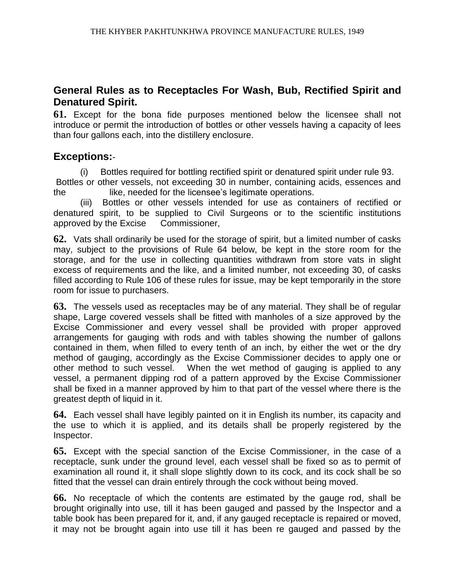## **General Rules as to Receptacles For Wash, Bub, Rectified Spirit and Denatured Spirit.**

**61.** Except for the bona fide purposes mentioned below the licensee shall not introduce or permit the introduction of bottles or other vessels having a capacity of lees than four gallons each, into the distillery enclosure.

#### **Exceptions:**-

(i) Bottles required for bottling rectified spirit or denatured spirit under rule 93.

Bottles or other vessels, not exceeding 30 in number, containing acids, essences and the like, needed for the licensee's legitimate operations.

(iii) Bottles or other vessels intended for use as containers of rectified or denatured spirit, to be supplied to Civil Surgeons or to the scientific institutions approved by the Excise Commissioner,

**62.** Vats shall ordinarily be used for the storage of spirit, but a limited number of casks may, subject to the provisions of Rule 64 below, be kept in the store room for the storage, and for the use in collecting quantities withdrawn from store vats in slight excess of requirements and the like, and a limited number, not exceeding 30, of casks filled according to Rule 106 of these rules for issue, may be kept temporarily in the store room for issue to purchasers.

**63.** The vessels used as receptacles may be of any material. They shall be of regular shape, Large covered vessels shall be fitted with manholes of a size approved by the Excise Commissioner and every vessel shall be provided with proper approved arrangements for gauging with rods and with tables showing the number of gallons contained in them, when filled to every tenth of an inch, by either the wet or the dry method of gauging, accordingly as the Excise Commissioner decides to apply one or other method to such vessel. When the wet method of gauging is applied to any vessel, a permanent dipping rod of a pattern approved by the Excise Commissioner shall be fixed in a manner approved by him to that part of the vessel where there is the greatest depth of liquid in it.

**64.** Each vessel shall have legibly painted on it in English its number, its capacity and the use to which it is applied, and its details shall be properly registered by the Inspector.

**65.** Except with the special sanction of the Excise Commissioner, in the case of a receptacle, sunk under the ground level, each vessel shall be fixed so as to permit of examination all round it, it shall slope slightly down to its cock, and its cock shall be so fitted that the vessel can drain entirely through the cock without being moved.

**66.** No receptacle of which the contents are estimated by the gauge rod, shall be brought originally into use, till it has been gauged and passed by the Inspector and a table book has been prepared for it, and, if any gauged receptacle is repaired or moved, it may not be brought again into use till it has been re gauged and passed by the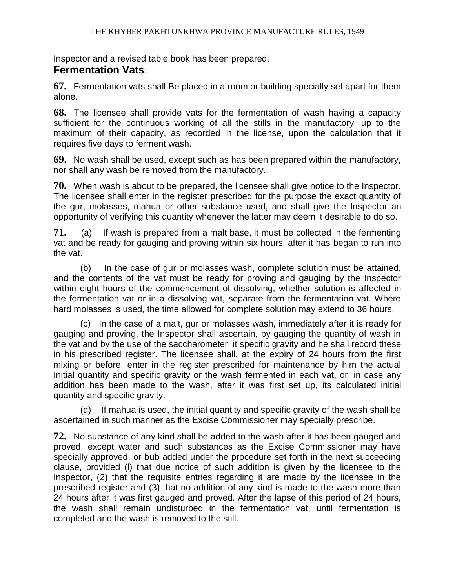Inspector and a revised table book has been prepared.

## **Fermentation Vats**:

**67.** Fermentation vats shall Be placed in a room or building specially set apart for them alone.

**68.** The licensee shall provide vats for the fermentation of wash having a capacity sufficient for the continuous working of all the stills in the manufactory, up to the maximum of their capacity, as recorded in the license, upon the calculation that it requires five days to ferment wash.

**69.** No wash shall be used, except such as has been prepared within the manufactory, nor shall any wash be removed from the manufactory.

**70.** When wash is about to be prepared, the licensee shall give notice to the Inspector. The licensee shall enter in the register prescribed for the purpose the exact quantity of the gur, molasses, mahua or other substance used, and shall give the Inspector an opportunity of verifying this quantity whenever the latter may deem it desirable to do so.

**71.** (a) If wash is prepared from a malt base, it must be collected in the fermenting vat and be ready for gauging and proving within six hours, after it has began to run into the vat.

(b) In the case of gur or molasses wash, complete solution must be attained, and the contents of the vat must be ready for proving and gauging by the Inspector within eight hours of the commencement of dissolving, whether solution is affected in the fermentation vat or in a dissolving vat, separate from the fermentation vat. Where hard molasses is used, the time allowed for complete solution may extend to 36 hours.

(c) In the case of a malt, gur or molasses wash, immediately after it is ready for gauging and proving, the Inspector shall ascertain, by gauging the quantity of wash in the vat and by the use of the saccharometer, it specific gravity and he shall record these in his prescribed register. The licensee shall, at the expiry of 24 hours from the first mixing or before, enter in the register prescribed for maintenance by him the actual Initial quantity and specific gravity or the wash fermented in each vat, or, in case any addition has been made to the wash, after it was first set up, its calculated initial quantity and specific gravity.

(d) If mahua is used, the initial quantity and specific gravity of the wash shall be ascertained in such manner as the Excise Commissioner may specially prescribe.

**72.** No substance of any kind shall be added to the wash after it has been gauged and proved, except water and such substances as the Excise Commissioner may have specially approved, or bub added under the procedure set forth in the next succeeding clause, provided (l) that due notice of such addition is given by the licensee to the Inspector, (2) that the requisite entries regarding it are made by the licensee in the prescribed register and (3) that no addition of any kind is made to the wash more than 24 hours after it was first gauged and proved. After the lapse of this period of 24 hours, the wash shall remain undisturbed in the fermentation vat, until fermentation is completed and the wash is removed to the still.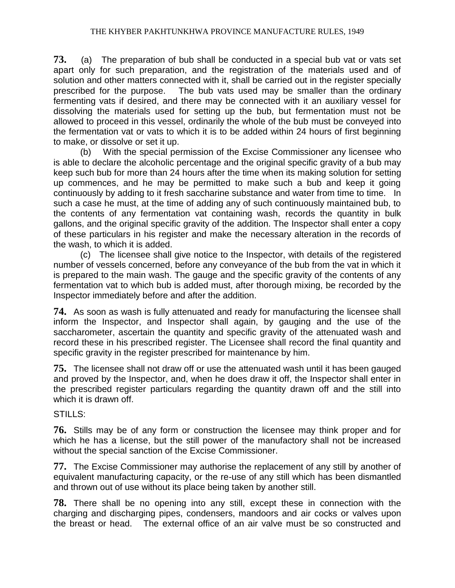**73.** (a) The preparation of bub shall be conducted in a special bub vat or vats set apart only for such preparation, and the registration of the materials used and of solution and other matters connected with it, shall be carried out in the register specially prescribed for the purpose. The bub vats used may be smaller than the ordinary fermenting vats if desired, and there may be connected with it an auxiliary vessel for dissolving the materials used for setting up the bub, but fermentation must not be allowed to proceed in this vessel, ordinarily the whole of the bub must be conveyed into the fermentation vat or vats to which it is to be added within 24 hours of first beginning to make, or dissolve or set it up.

(b) With the special permission of the Excise Commissioner any licensee who is able to declare the alcoholic percentage and the original specific gravity of a bub may keep such bub for more than 24 hours after the time when its making solution for setting up commences, and he may be permitted to make such a bub and keep it going continuously by adding to it fresh saccharine substance and water from time to time. In such a case he must, at the time of adding any of such continuously maintained bub, to the contents of any fermentation vat containing wash, records the quantity in bulk gallons, and the original specific gravity of the addition. The Inspector shall enter a copy of these particulars in his register and make the necessary alteration in the records of the wash, to which it is added.

(c) The licensee shall give notice to the Inspector, with details of the registered number of vessels concerned, before any conveyance of the bub from the vat in which it is prepared to the main wash. The gauge and the specific gravity of the contents of any fermentation vat to which bub is added must, after thorough mixing, be recorded by the Inspector immediately before and after the addition.

**74.** As soon as wash is fully attenuated and ready for manufacturing the licensee shall inform the Inspector, and Inspector shall again, by gauging and the use of the saccharometer, ascertain the quantity and specific gravity of the attenuated wash and record these in his prescribed register. The Licensee shall record the final quantity and specific gravity in the register prescribed for maintenance by him.

**75.** The licensee shall not draw off or use the attenuated wash until it has been gauged and proved by the Inspector, and, when he does draw it off, the Inspector shall enter in the prescribed register particulars regarding the quantity drawn off and the still into which it is drawn off.

#### STILLS:

**76.** Stills may be of any form or construction the licensee may think proper and for which he has a license, but the still power of the manufactory shall not be increased without the special sanction of the Excise Commissioner.

**77.** The Excise Commissioner may authorise the replacement of any still by another of equivalent manufacturing capacity, or the re-use of any still which has been dismantled and thrown out of use without its place being taken by another still.

**78.** There shall be no opening into any still, except these in connection with the charging and discharging pipes, condensers, mandoors and air cocks or valves upon the breast or head. The external office of an air valve must be so constructed and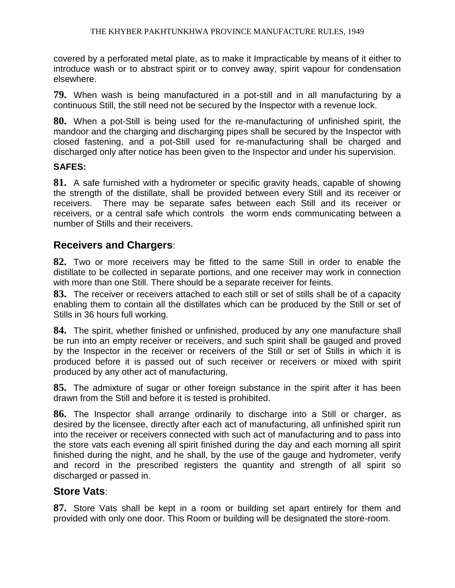covered by a perforated metal plate, as to make it Impracticable by means of it either to introduce wash or to abstract spirit or to convey away, spirit vapour for condensation elsewhere.

**79.** When wash is being manufactured in a pot-still and in all manufacturing by a continuous Still, the still need not be secured by the Inspector with a revenue lock.

**80.** When a pot-Still is being used for the re-manufacturing of unfinished spirit, the mandoor and the charging and discharging pipes shall be secured by the Inspector with closed fastening, and a pot-Still used for re-manufacturing shall be charged and discharged only after notice has been given to the Inspector and under his supervision.

#### **SAFES:**

**81.** A safe furnished with a hydrometer or specific gravity heads, capable of showing the strength of the distillate, shall be provided between every Still and its receiver or receivers. There may be separate safes between each Still and its receiver or receivers, or a central safe which controls the worm ends communicating between a number of Stills and their receivers.

#### **Receivers and Chargers**:

**82.** Two or more receivers may be fitted to the same Still in order to enable the distillate to be collected in separate portions, and one receiver may work in connection with more than one Still. There should be a separate receiver for feints.

**83.** The receiver or receivers attached to each still or set of stills shall be of a capacity enabling them to contain all the distillates which can be produced by the Still or set of Stills in 36 hours full working.

**84.** The spirit, whether finished or unfinished, produced by any one manufacture shall be run into an empty receiver or receivers, and such spirit shall be gauged and proved by the Inspector in the receiver or receivers of the Still or set of Stills in which it is produced before it is passed out of such receiver or receivers or mixed with spirit produced by any other act of manufacturing,

**85.** The admixture of sugar or other foreign substance in the spirit after it has been drawn from the Still and before it is tested is prohibited.

**86.** The Inspector shall arrange ordinarily to discharge into a Still or charger, as desired by the licensee, directly after each act of manufacturing, all unfinished spirit run into the receiver or receivers connected with such act of manufacturing and to pass into the store vats each evening all spirit finished during the day and each morning all spirit finished during the night, and he shall, by the use of the gauge and hydrometer, verify and record in the prescribed registers the quantity and strength of all spirit so discharged or passed in.

#### **Store Vats**:

**87.** Store Vats shall be kept in a room or building set apart entirely for them and provided with only one door. This Room or building will be designated the store-room.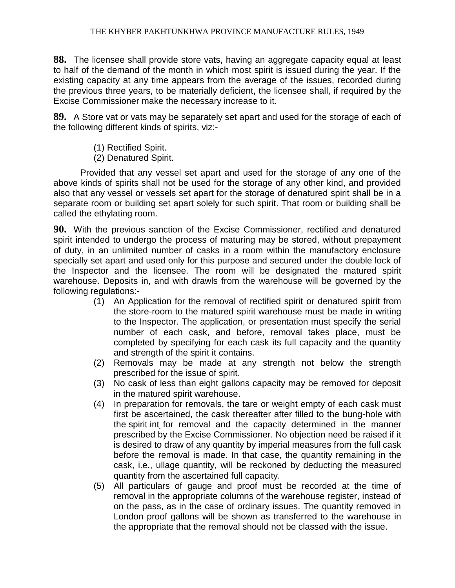**88.** The licensee shall provide store vats, having an aggregate capacity equal at least to half of the demand of the month in which most spirit is issued during the year. If the existing capacity at any time appears from the average of the issues, recorded during the previous three years, to be materially deficient, the licensee shall, if required by the Excise Commissioner make the necessary increase to it.

**89.** A Store vat or vats may be separately set apart and used for the storage of each of the following different kinds of spirits, viz:-

- (1) Rectified Spirit.
- (2) Denatured Spirit.

Provided that any vessel set apart and used for the storage of any one of the above kinds of spirits shall not be used for the storage of any other kind, and provided also that any vessel or vessels set apart for the storage of denatured spirit shall be in a separate room or building set apart solely for such spirit. That room or building shall be called the ethylating room.

**90.** With the previous sanction of the Excise Commissioner, rectified and denatured spirit intended to undergo the process of maturing may be stored, without prepayment of duty, in an unlimited number of casks in a room within the manufactory enclosure specially set apart and used only for this purpose and secured under the double lock of the Inspector and the licensee. The room will be designated the matured spirit warehouse. Deposits in, and with drawls from the warehouse will be governed by the following regulations:-

- (1) An Application for the removal of rectified spirit or denatured spirit from the store-room to the matured spirit warehouse must be made in writing to the Inspector. The application, or presentation must specify the serial number of each cask, and before, removal takes place, must be completed by specifying for each cask its full capacity and the quantity and strength of the spirit it contains.
- (2) Removals may be made at any strength not below the strength prescribed for the issue of spirit.
- (3) No cask of less than eight gallons capacity may be removed for deposit in the matured spirit warehouse.
- (4) In preparation for removals, the tare or weight empty of each cask must first be ascertained, the cask thereafter after filled to the bung-hole with the spirit int for removal and the capacity determined in the manner prescribed by the Excise Commissioner. No objection need be raised if it is desired to draw of any quantity by imperial measures from the full cask before the removal is made. In that case, the quantity remaining in the cask, i.e., ullage quantity, will be reckoned by deducting the measured quantity from the ascertained full capacity.
- (5) All particulars of gauge and proof must be recorded at the time of removal in the appropriate columns of the warehouse register, instead of on the pass, as in the case of ordinary issues. The quantity removed in London proof gallons will be shown as transferred to the warehouse in the appropriate that the removal should not be classed with the issue.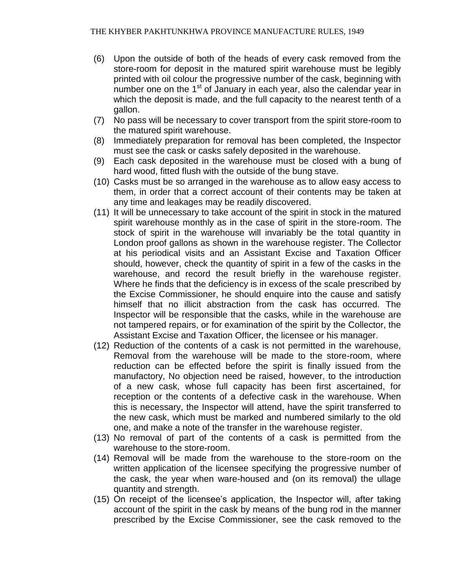- (6) Upon the outside of both of the heads of every cask removed from the store-room for deposit in the matured spirit warehouse must be legibly printed with oil colour the progressive number of the cask, beginning with number one on the  $1<sup>st</sup>$  of January in each year, also the calendar year in which the deposit is made, and the full capacity to the nearest tenth of a gallon.
- (7) No pass will be necessary to cover transport from the spirit store-room to the matured spirit warehouse.
- (8) Immediately preparation for removal has been completed, the Inspector must see the cask or casks safely deposited in the warehouse.
- (9) Each cask deposited in the warehouse must be closed with a bung of hard wood, fitted flush with the outside of the bung stave.
- (10) Casks must be so arranged in the warehouse as to allow easy access to them, in order that a correct account of their contents may be taken at any time and leakages may be readily discovered.
- (11) It will be unnecessary to take account of the spirit in stock in the matured spirit warehouse monthly as in the case of spirit in the store-room. The stock of spirit in the warehouse will invariably be the total quantity in London proof gallons as shown in the warehouse register. The Collector at his periodical visits and an Assistant Excise and Taxation Officer should, however, check the quantity of spirit in a few of the casks in the warehouse, and record the result briefly in the warehouse register. Where he finds that the deficiency is in excess of the scale prescribed by the Excise Commissioner, he should enquire into the cause and satisfy himself that no illicit abstraction from the cask has occurred. The Inspector will be responsible that the casks, while in the warehouse are not tampered repairs, or for examination of the spirit by the Collector, the Assistant Excise and Taxation Officer, the licensee or his manager.
- (12) Reduction of the contents of a cask is not permitted in the warehouse, Removal from the warehouse will be made to the store-room, where reduction can be effected before the spirit is finally issued from the manufactory, No objection need be raised, however, to the introduction of a new cask, whose full capacity has been first ascertained, for reception or the contents of a defective cask in the warehouse. When this is necessary, the Inspector will attend, have the spirit transferred to the new cask, which must be marked and numbered similarly to the old one, and make a note of the transfer in the warehouse register.
- (13) No removal of part of the contents of a cask is permitted from the warehouse to the store-room.
- (14) Removal will be made from the warehouse to the store-room on the written application of the licensee specifying the progressive number of the cask, the year when ware-housed and (on its removal) the ullage quantity and strength.
- (15) On receipt of the licensee's application, the Inspector will, after taking account of the spirit in the cask by means of the bung rod in the manner prescribed by the Excise Commissioner, see the cask removed to the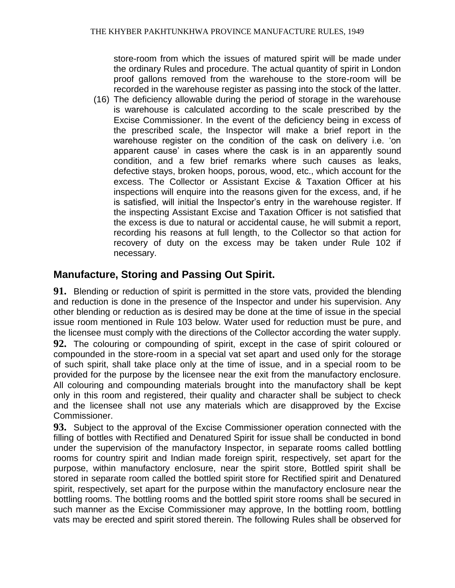store-room from which the issues of matured spirit will be made under the ordinary Rules and procedure. The actual quantity of spirit in London proof gallons removed from the warehouse to the store-room will be recorded in the warehouse register as passing into the stock of the latter.

(16) The deficiency allowable during the period of storage in the warehouse is warehouse is calculated according to the scale prescribed by the Excise Commissioner. In the event of the deficiency being in excess of the prescribed scale, the Inspector will make a brief report in the warehouse register on the condition of the cask on delivery i.e. 'on apparent cause' in cases where the cask is in an apparently sound condition, and a few brief remarks where such causes as leaks, defective stays, broken hoops, porous, wood, etc., which account for the excess. The Collector or Assistant Excise & Taxation Officer at his inspections will enquire into the reasons given for the excess, and, if he is satisfied, will initial the Inspector's entry in the warehouse register. If the inspecting Assistant Excise and Taxation Officer is not satisfied that the excess is due to natural or accidental cause, he will submit a report, recording his reasons at full length, to the Collector so that action for recovery of duty on the excess may be taken under Rule 102 if necessary.

# **Manufacture, Storing and Passing Out Spirit.**

**91.** Blending or reduction of spirit is permitted in the store vats, provided the blending and reduction is done in the presence of the Inspector and under his supervision. Any other blending or reduction as is desired may be done at the time of issue in the special issue room mentioned in Rule 103 below. Water used for reduction must be pure, and the licensee must comply with the directions of the Collector according the water supply.

**92.** The colouring or compounding of spirit, except in the case of spirit coloured or compounded in the store-room in a special vat set apart and used only for the storage of such spirit, shall take place only at the time of issue, and in a special room to be provided for the purpose by the licensee near the exit from the manufactory enclosure. All colouring and compounding materials brought into the manufactory shall be kept only in this room and registered, their quality and character shall be subject to check and the licensee shall not use any materials which are disapproved by the Excise Commissioner.

**93.** Subject to the approval of the Excise Commissioner operation connected with the filling of bottles with Rectified and Denatured Spirit for issue shall be conducted in bond under the supervision of the manufactory Inspector, in separate rooms called bottling rooms for country spirit and Indian made foreign spirit, respectively, set apart for the purpose, within manufactory enclosure, near the spirit store, Bottled spirit shall be stored in separate room called the bottled spirit store for Rectified spirit and Denatured spirit, respectively, set apart for the purpose within the manufactory enclosure near the bottling rooms. The bottling rooms and the bottled spirit store rooms shall be secured in such manner as the Excise Commissioner may approve, In the bottling room, bottling vats may be erected and spirit stored therein. The following Rules shall be observed for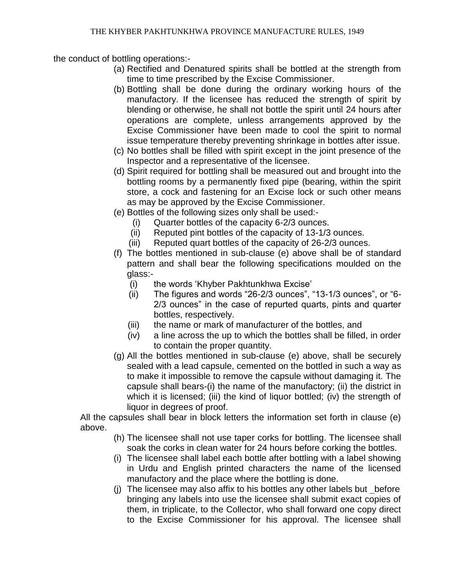the conduct of bottling operations:-

- (a) Rectified and Denatured spirits shall be bottled at the strength from time to time prescribed by the Excise Commissioner.
- (b) Bottling shall be done during the ordinary working hours of the manufactory. If the licensee has reduced the strength of spirit by blending or otherwise, he shall not bottle the spirit until 24 hours after operations are complete, unless arrangements approved by the Excise Commissioner have been made to cool the spirit to normal issue temperature thereby preventing shrinkage in bottles after issue.
- (c) No bottles shall be filled with spirit except in the joint presence of the Inspector and a representative of the licensee.
- (d) Spirit required for bottling shall be measured out and brought into the bottling rooms by a permanently fixed pipe (bearing, within the spirit store, a cock and fastening for an Excise lock or such other means as may be approved by the Excise Commissioner.
- (e) Bottles of the following sizes only shall be used:-
	- (i) Quarter bottles of the capacity 6-2/3 ounces.
	- (ii) Reputed pint bottles of the capacity of 13-1/3 ounces.
	- (iii) Reputed quart bottles of the capacity of 26-2/3 ounces.
- (f) The bottles mentioned in sub-clause (e) above shall be of standard pattern and shall bear the following specifications moulded on the glass:-
	- (i) the words 'Khyber Pakhtunkhwa Excise'
	- (ii) The figures and words "26-2/3 ounces", "13-1/3 ounces", or "6- 2/3 ounces" in the case of repurted quarts, pints and quarter bottles, respectively.
	- (iii) the name or mark of manufacturer of the bottles, and
	- (iv) a line across the up to which the bottles shall be filled, in order to contain the proper quantity.
- (g) All the bottles mentioned in sub-clause (e) above, shall be securely sealed with a lead capsule, cemented on the bottled in such a way as to make it impossible to remove the capsule without damaging it. The capsule shall bears-(i) the name of the manufactory; (ii) the district in which it is licensed; (iii) the kind of liquor bottled; (iv) the strength of liquor in degrees of proof.

All the capsules shall bear in block letters the information set forth in clause (e) above.

- (h) The licensee shall not use taper corks for bottling. The licensee shall soak the corks in clean water for 24 hours before corking the bottles.
- (i) The licensee shall label each bottle after bottling with a label showing in Urdu and English printed characters the name of the licensed manufactory and the place where the bottling is done.
- (j) The licensee may also affix to his bottles any other labels but before bringing any labels into use the licensee shall submit exact copies of them, in triplicate, to the Collector, who shall forward one copy direct to the Excise Commissioner for his approval. The licensee shall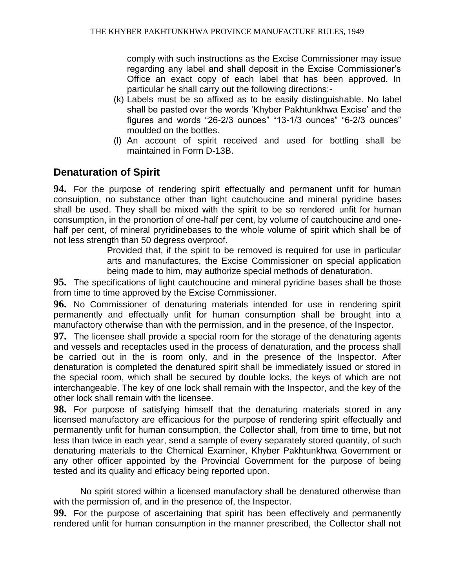comply with such instructions as the Excise Commissioner may issue regarding any label and shall deposit in the Excise Commissioner's Office an exact copy of each label that has been approved. In particular he shall carry out the following directions:-

- (k) Labels must be so affixed as to be easily distinguishable. No label shall be pasted over the words 'Khyber Pakhtunkhwa Excise' and the figures and words "26-2/3 ounces" "13-1/3 ounces" "6-2/3 ounces" moulded on the bottles.
- (l) An account of spirit received and used for bottling shall be maintained in Form D-13B.

# **Denaturation of Spirit**

**94.** For the purpose of rendering spirit effectually and permanent unfit for human consuiption, no substance other than light cautchoucine and mineral pyridine bases shall be used. They shall be mixed with the spirit to be so rendered unfit for human consumption, in the pronortion of one-half per cent, by volume of cautchoucine and onehalf per cent, of mineral pryridinebases to the whole volume of spirit which shall be of not less strength than 50 degress overproof.

Provided that, if the spirit to be removed is required for use in particular arts and manufactures, the Excise Commissioner on special application being made to him, may authorize special methods of denaturation.

**95.** The specifications of light cautchoucine and mineral pyridine bases shall be those from time to time approved by the Excise Commissioner.

**96.** No Commissioner of denaturing materials intended for use in rendering spirit permanently and effectually unfit for human consumption shall be brought into a manufactory otherwise than with the permission, and in the presence, of the Inspector.

**97.** The licensee shall provide a special room for the storage of the denaturing agents and vessels and receptacles used in the process of denaturation, and the process shall be carried out in the is room only, and in the presence of the Inspector. After denaturation is completed the denatured spirit shall be immediately issued or stored in the special room, which shall be secured by double locks, the keys of which are not interchangeable. The key of one lock shall remain with the Inspector, and the key of the other lock shall remain with the licensee.

**98.** For purpose of satisfying himself that the denaturing materials stored in any licensed manufactory are efficacious for the purpose of rendering spirit effectually and permanently unfit for human consumption, the Collector shall, from time to time, but not less than twice in each year, send a sample of every separately stored quantity, of such denaturing materials to the Chemical Examiner, Khyber Pakhtunkhwa Government or any other officer appointed by the Provincial Government for the purpose of being tested and its quality and efficacy being reported upon.

No spirit stored within a licensed manufactory shall be denatured otherwise than with the permission of, and in the presence of, the Inspector.

**99.** For the purpose of ascertaining that spirit has been effectively and permanently rendered unfit for human consumption in the manner prescribed, the Collector shall not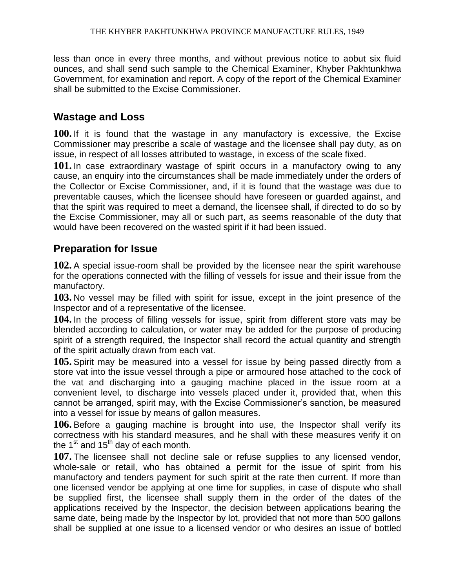less than once in every three months, and without previous notice to aobut six fluid ounces, and shall send such sample to the Chemical Examiner, Khyber Pakhtunkhwa Government, for examination and report. A copy of the report of the Chemical Examiner shall be submitted to the Excise Commissioner.

## **Wastage and Loss**

**100.** If it is found that the wastage in any manufactory is excessive, the Excise Commissioner may prescribe a scale of wastage and the licensee shall pay duty, as on issue, in respect of all losses attributed to wastage, in excess of the scale fixed.

**101.** In case extraordinary wastage of spirit occurs in a manufactory owing to any cause, an enquiry into the circumstances shall be made immediately under the orders of the Collector or Excise Commissioner, and, if it is found that the wastage was due to preventable causes, which the licensee should have foreseen or guarded against, and that the spirit was required to meet a demand, the licensee shall, if directed to do so by the Excise Commissioner, may all or such part, as seems reasonable of the duty that would have been recovered on the wasted spirit if it had been issued.

## **Preparation for Issue**

**102.** A special issue-room shall be provided by the licensee near the spirit warehouse for the operations connected with the filling of vessels for issue and their issue from the manufactory.

**103.** No vessel may be filled with spirit for issue, except in the joint presence of the Inspector and of a representative of the licensee.

**104.** In the process of filling vessels for issue, spirit from different store vats may be blended according to calculation, or water may be added for the purpose of producing spirit of a strength required, the Inspector shall record the actual quantity and strength of the spirit actually drawn from each vat.

**105.** Spirit may be measured into a vessel for issue by being passed directly from a store vat into the issue vessel through a pipe or armoured hose attached to the cock of the vat and discharging into a gauging machine placed in the issue room at a convenient level, to discharge into vessels placed under it, provided that, when this cannot be arranged, spirit may, with the Excise Commissioner's sanction, be measured into a vessel for issue by means of gallon measures.

**106.** Before a gauging machine is brought into use, the Inspector shall verify its correctness with his standard measures, and he shall with these measures verify it on the  $1<sup>st</sup>$  and  $15<sup>th</sup>$  day of each month.

**107.** The licensee shall not decline sale or refuse supplies to any licensed vendor, whole-sale or retail, who has obtained a permit for the issue of spirit from his manufactory and tenders payment for such spirit at the rate then current. If more than one licensed vendor be applying at one time for supplies, in case of dispute who shall be supplied first, the licensee shall supply them in the order of the dates of the applications received by the Inspector, the decision between applications bearing the same date, being made by the Inspector by lot, provided that not more than 500 gallons shall be supplied at one issue to a licensed vendor or who desires an issue of bottled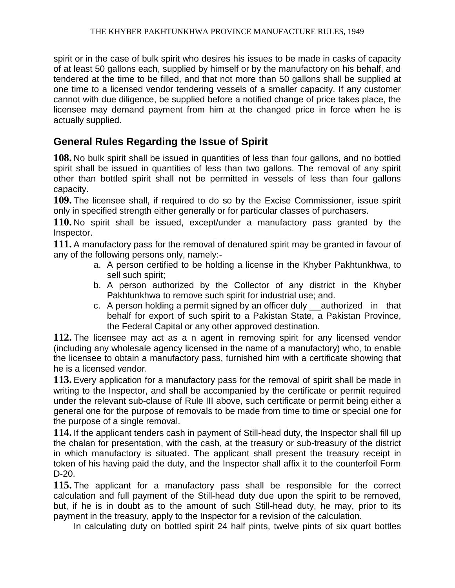spirit or in the case of bulk spirit who desires his issues to be made in casks of capacity of at least 50 gallons each, supplied by himself or by the manufactory on his behalf, and tendered at the time to be filled, and that not more than 50 gallons shall be supplied at one time to a licensed vendor tendering vessels of a smaller capacity. If any customer cannot with due diligence, be supplied before a notified change of price takes place, the licensee may demand payment from him at the changed price in force when he is actually supplied.

## **General Rules Regarding the Issue of Spirit**

**108.** No bulk spirit shall be issued in quantities of less than four gallons, and no bottled spirit shall be issued in quantities of less than two gallons. The removal of any spirit other than bottled spirit shall not be permitted in vessels of less than four gallons capacity.

**109.** The licensee shall, if required to do so by the Excise Commissioner, issue spirit only in specified strength either generally or for particular classes of purchasers.

**110.** No spirit shall be issued, except/under a manufactory pass granted by the Inspector.

**111.** A manufactory pass for the removal of denatured spirit may be granted in favour of any of the following persons only, namely:-

- a. A person certified to be holding a license in the Khyber Pakhtunkhwa, to sell such spirit;
- b. A person authorized by the Collector of any district in the Khyber Pakhtunkhwa to remove such spirit for industrial use; and.
- c. A person holding a permit signed by an officer duly  $\quad$  authorized in that behalf for export of such spirit to a Pakistan State, a Pakistan Province, the Federal Capital or any other approved destination.

**112.** The licensee may act as a n agent in removing spirit for any licensed vendor (including any wholesale agency licensed in the name of a manufactory) who, to enable the licensee to obtain a manufactory pass, furnished him with a certificate showing that he is a licensed vendor.

**113.** Every application for a manufactory pass for the removal of spirit shall be made in writing to the Inspector, and shall be accompanied by the certificate or permit required under the relevant sub-clause of Rule III above, such certificate or permit being either a general one for the purpose of removals to be made from time to time or special one for the purpose of a single removal.

**114.** If the applicant tenders cash in payment of Still-head duty, the Inspector shall fill up the chalan for presentation, with the cash, at the treasury or sub-treasury of the district in which manufactory is situated. The applicant shall present the treasury receipt in token of his having paid the duty, and the Inspector shall affix it to the counterfoil Form D-20.

**115.** The applicant for a manufactory pass shall be responsible for the correct calculation and full payment of the Still-head duty due upon the spirit to be removed, but, if he is in doubt as to the amount of such Still-head duty, he may, prior to its payment in the treasury, apply to the Inspector for a revision of the calculation.

In calculating duty on bottled spirit 24 half pints, twelve pints of six quart bottles